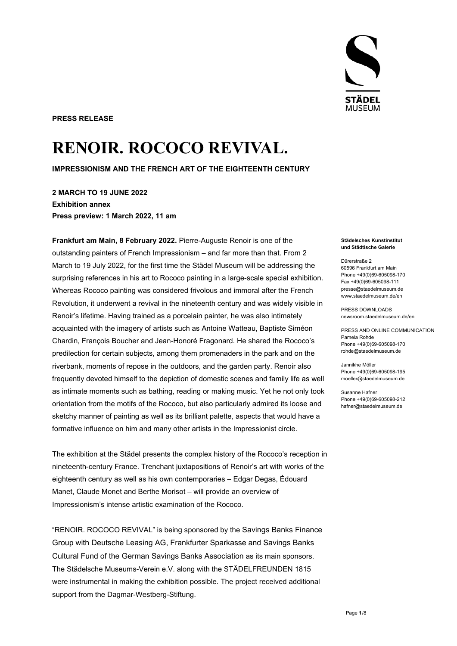**PRESS RELEASE** 

# **RENOIR. ROCOCO REVIVAL.**

**IMPRESSIONISM AND THE FRENCH ART OF THE EIGHTEENTH CENTURY** 

**2 MARCH TO 19 JUNE 2022 Exhibition annex Press preview: 1 March 2022, 11 am** 

**Frankfurt am Main, 8 February 2022.** Pierre-Auguste Renoir is one of the outstanding painters of French Impressionism – and far more than that. From 2 March to 19 July 2022, for the first time the Städel Museum will be addressing the surprising references in his art to Rococo painting in a large-scale special exhibition. Whereas Rococo painting was considered frivolous and immoral after the French Revolution, it underwent a revival in the nineteenth century and was widely visible in Renoir's lifetime. Having trained as a porcelain painter, he was also intimately acquainted with the imagery of artists such as Antoine Watteau, Baptiste Siméon Chardin, François Boucher and Jean-Honoré Fragonard. He shared the Rococo's predilection for certain subjects, among them promenaders in the park and on the riverbank, moments of repose in the outdoors, and the garden party. Renoir also frequently devoted himself to the depiction of domestic scenes and family life as well as intimate moments such as bathing, reading or making music. Yet he not only took orientation from the motifs of the Rococo, but also particularly admired its loose and sketchy manner of painting as well as its brilliant palette, aspects that would have a formative influence on him and many other artists in the Impressionist circle.

The exhibition at the Städel presents the complex history of the Rococo's reception in nineteenth-century France. Trenchant juxtapositions of Renoir's art with works of the eighteenth century as well as his own contemporaries – Edgar Degas, Édouard Manet, Claude Monet and Berthe Morisot – will provide an overview of Impressionism's intense artistic examination of the Rococo.

"RENOIR. ROCOCO REVIVAL" is being sponsored by the Savings Banks Finance Group with Deutsche Leasing AG, Frankfurter Sparkasse and Savings Banks Cultural Fund of the German Savings Banks Association as its main sponsors. The Städelsche Museums-Verein e.V. along with the STÄDELFREUNDEN 1815 were instrumental in making the exhibition possible. The project received additional support from the Dagmar-Westberg-Stiftung.



#### **Städelsches Kunstinstitut und Städtische Galerie**

Dürerstraße 2 60596 Frankfurt am Main Phone +49(0)69-605098-170 Fax +49(0)69-605098-111 presse@staedelmuseum.de www.staedelmuseum.de/en

PRESS DOWNLOADS newsroom.staedelmuseum.de/en

PRESS AND ONLINE COMMUNICATION Pamela Rohde Phone +49(0)69-605098-170 rohde@staedelmuseum.de

Jannikhe Möller Phone +49(0)69-605098-195 moeller@staedelmuseum.de

Susanne Hafner Phone +49(0)69-605098-212 hafner@staedelmuseum.de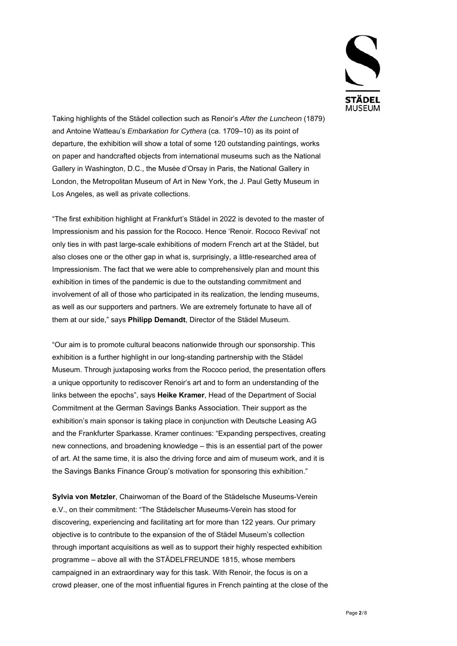

Taking highlights of the Städel collection such as Renoir's *After the Luncheon* (1879) and Antoine Watteau's *Embarkation for Cythera* (ca. 1709–10) as its point of departure, the exhibition will show a total of some 120 outstanding paintings, works on paper and handcrafted objects from international museums such as the National Gallery in Washington, D.C., the Musée d'Orsay in Paris, the National Gallery in London, the Metropolitan Museum of Art in New York, the J. Paul Getty Museum in Los Angeles, as well as private collections.

"The first exhibition highlight at Frankfurt's Städel in 2022 is devoted to the master of Impressionism and his passion for the Rococo. Hence 'Renoir. Rococo Revival' not only ties in with past large-scale exhibitions of modern French art at the Städel, but also closes one or the other gap in what is, surprisingly, a little-researched area of Impressionism. The fact that we were able to comprehensively plan and mount this exhibition in times of the pandemic is due to the outstanding commitment and involvement of all of those who participated in its realization, the lending museums, as well as our supporters and partners. We are extremely fortunate to have all of them at our side," says **Philipp Demandt**, Director of the Städel Museum.

"Our aim is to promote cultural beacons nationwide through our sponsorship. This exhibition is a further highlight in our long-standing partnership with the Städel Museum. Through juxtaposing works from the Rococo period, the presentation offers a unique opportunity to rediscover Renoir's art and to form an understanding of the links between the epochs", says **Heike Kramer**, Head of the Department of Social Commitment at the German Savings Banks Association. Their support as the exhibition's main sponsor is taking place in conjunction with Deutsche Leasing AG and the Frankfurter Sparkasse. Kramer continues: "Expanding perspectives, creating new connections, and broadening knowledge – this is an essential part of the power of art. At the same time, it is also the driving force and aim of museum work, and it is the Savings Banks Finance Group's motivation for sponsoring this exhibition."

**Sylvia von Metzler**, Chairwoman of the Board of the Städelsche Museums-Verein e.V., on their commitment: "The Städelscher Museums-Verein has stood for discovering, experiencing and facilitating art for more than 122 years. Our primary objective is to contribute to the expansion of the of Städel Museum's collection through important acquisitions as well as to support their highly respected exhibition programme – above all with the STÄDELFREUNDE 1815, whose members campaigned in an extraordinary way for this task. With Renoir, the focus is on a crowd pleaser, one of the most influential figures in French painting at the close of the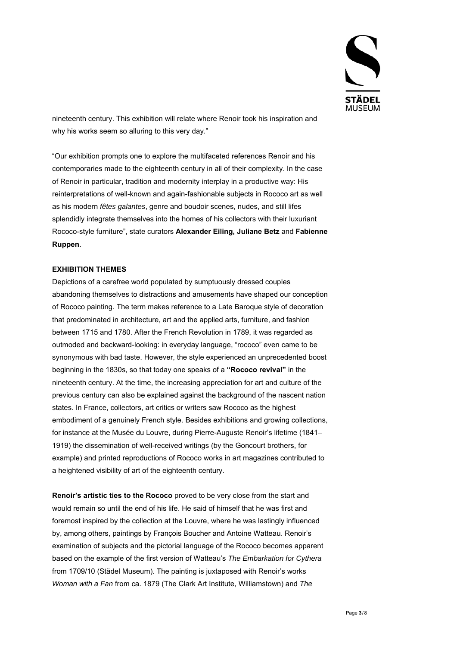

nineteenth century. This exhibition will relate where Renoir took his inspiration and why his works seem so alluring to this very day."

"Our exhibition prompts one to explore the multifaceted references Renoir and his contemporaries made to the eighteenth century in all of their complexity. In the case of Renoir in particular, tradition and modernity interplay in a productive way: His reinterpretations of well-known and again-fashionable subjects in Rococo art as well as his modern *fêtes galantes*, genre and boudoir scenes, nudes, and still lifes splendidly integrate themselves into the homes of his collectors with their luxuriant Rococo-style furniture", state curators **Alexander Eiling, Juliane Betz** and **Fabienne Ruppen**.

#### **EXHIBITION THEMES**

Depictions of a carefree world populated by sumptuously dressed couples abandoning themselves to distractions and amusements have shaped our conception of Rococo painting. The term makes reference to a Late Baroque style of decoration that predominated in architecture, art and the applied arts, furniture, and fashion between 1715 and 1780. After the French Revolution in 1789, it was regarded as outmoded and backward-looking: in everyday language, "rococo" even came to be synonymous with bad taste. However, the style experienced an unprecedented boost beginning in the 1830s, so that today one speaks of a **"Rococo revival"** in the nineteenth century. At the time, the increasing appreciation for art and culture of the previous century can also be explained against the background of the nascent nation states. In France, collectors, art critics or writers saw Rococo as the highest embodiment of a genuinely French style. Besides exhibitions and growing collections, for instance at the Musée du Louvre, during Pierre-Auguste Renoir's lifetime (1841– 1919) the dissemination of well-received writings (by the Goncourt brothers, for example) and printed reproductions of Rococo works in art magazines contributed to a heightened visibility of art of the eighteenth century.

**Renoir's artistic ties to the Rococo** proved to be very close from the start and would remain so until the end of his life. He said of himself that he was first and foremost inspired by the collection at the Louvre, where he was lastingly influenced by, among others, paintings by François Boucher and Antoine Watteau. Renoir's examination of subjects and the pictorial language of the Rococo becomes apparent based on the example of the first version of Watteau's *The Embarkation for Cythera* from 1709/10 (Städel Museum). The painting is juxtaposed with Renoir's works *Woman with a Fan* from ca. 1879 (The Clark Art Institute, Williamstown) and *The*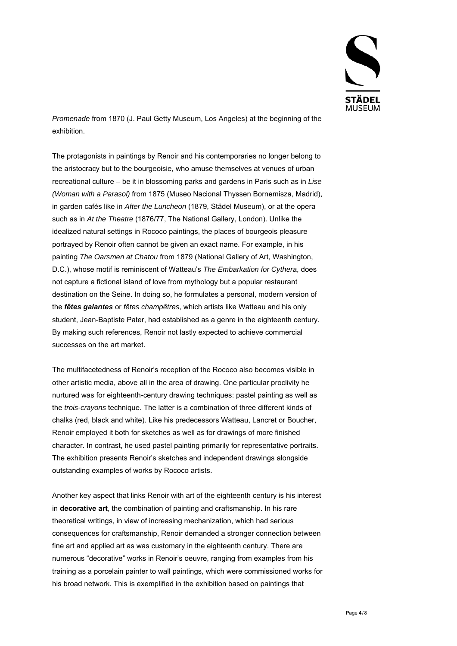

*Promenade* from 1870 (J. Paul Getty Museum, Los Angeles) at the beginning of the exhibition.

The protagonists in paintings by Renoir and his contemporaries no longer belong to the aristocracy but to the bourgeoisie, who amuse themselves at venues of urban recreational culture – be it in blossoming parks and gardens in Paris such as in *Lise (Woman with a Parasol)* from 1875 (Museo Nacional Thyssen Bornemisza, Madrid), in garden cafés like in *After the Luncheon* (1879, Städel Museum), or at the opera such as in *At the Theatre* (1876/77, The National Gallery, London). Unlike the idealized natural settings in Rococo paintings, the places of bourgeois pleasure portrayed by Renoir often cannot be given an exact name. For example, in his painting *The Oarsmen at Chatou* from 1879 (National Gallery of Art, Washington, D.C.), whose motif is reminiscent of Watteau's *The Embarkation for Cythera*, does not capture a fictional island of love from mythology but a popular restaurant destination on the Seine. In doing so, he formulates a personal, modern version of the *fêtes galantes* or *fêtes champêtres*, which artists like Watteau and his only student, Jean-Baptiste Pater, had established as a genre in the eighteenth century. By making such references, Renoir not lastly expected to achieve commercial successes on the art market.

The multifacetedness of Renoir's reception of the Rococo also becomes visible in other artistic media, above all in the area of drawing. One particular proclivity he nurtured was for eighteenth-century drawing techniques: pastel painting as well as the *trois-crayons* technique. The latter is a combination of three different kinds of chalks (red, black and white). Like his predecessors Watteau, Lancret or Boucher, Renoir employed it both for sketches as well as for drawings of more finished character. In contrast, he used pastel painting primarily for representative portraits. The exhibition presents Renoir's sketches and independent drawings alongside outstanding examples of works by Rococo artists.

Another key aspect that links Renoir with art of the eighteenth century is his interest in **decorative art**, the combination of painting and craftsmanship. In his rare theoretical writings, in view of increasing mechanization, which had serious consequences for craftsmanship, Renoir demanded a stronger connection between fine art and applied art as was customary in the eighteenth century. There are numerous "decorative" works in Renoir's oeuvre, ranging from examples from his training as a porcelain painter to wall paintings, which were commissioned works for his broad network. This is exemplified in the exhibition based on paintings that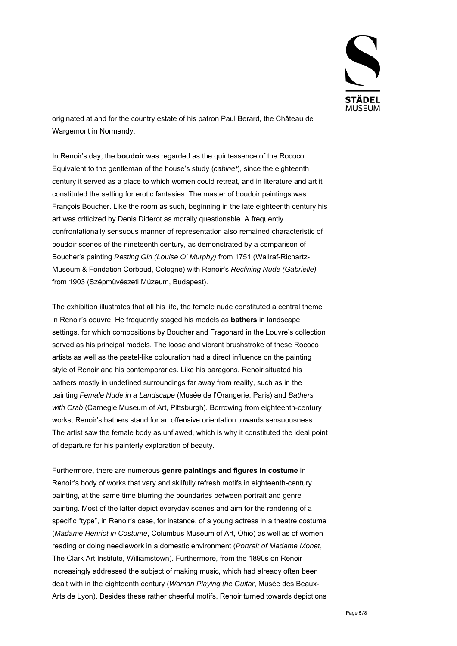

originated at and for the country estate of his patron Paul Berard, the Château de Wargemont in Normandy.

In Renoir's day, the **boudoir** was regarded as the quintessence of the Rococo. Equivalent to the gentleman of the house's study (*cabinet*), since the eighteenth century it served as a place to which women could retreat, and in literature and art it constituted the setting for erotic fantasies. The master of boudoir paintings was François Boucher. Like the room as such, beginning in the late eighteenth century his art was criticized by Denis Diderot as morally questionable. A frequently confrontationally sensuous manner of representation also remained characteristic of boudoir scenes of the nineteenth century, as demonstrated by a comparison of Boucher's painting *Resting Girl (Louise O' Murphy)* from 1751 (Wallraf-Richartz-Museum & Fondation Corboud, Cologne) with Renoir's *Reclining Nude (Gabrielle)*  from 1903 (Szépművészeti Múzeum, Budapest).

The exhibition illustrates that all his life, the female nude constituted a central theme in Renoir's oeuvre. He frequently staged his models as **bathers** in landscape settings, for which compositions by Boucher and Fragonard in the Louvre's collection served as his principal models. The loose and vibrant brushstroke of these Rococo artists as well as the pastel-like colouration had a direct influence on the painting style of Renoir and his contemporaries. Like his paragons, Renoir situated his bathers mostly in undefined surroundings far away from reality, such as in the painting *Female Nude in a Landscape* (Musée de l'Orangerie, Paris) and *Bathers with Crab* (Carnegie Museum of Art, Pittsburgh). Borrowing from eighteenth-century works, Renoir's bathers stand for an offensive orientation towards sensuousness: The artist saw the female body as unflawed, which is why it constituted the ideal point of departure for his painterly exploration of beauty.

Furthermore, there are numerous **genre paintings and figures in costume** in Renoir's body of works that vary and skilfully refresh motifs in eighteenth-century painting, at the same time blurring the boundaries between portrait and genre painting. Most of the latter depict everyday scenes and aim for the rendering of a specific "type", in Renoir's case, for instance, of a young actress in a theatre costume (*Madame Henriot in Costume*, Columbus Museum of Art, Ohio) as well as of women reading or doing needlework in a domestic environment (*Portrait of Madame Monet*, The Clark Art Institute, Williamstown). Furthermore, from the 1890s on Renoir increasingly addressed the subject of making music, which had already often been dealt with in the eighteenth century (*Woman Playing the Guitar*, Musée des Beaux-Arts de Lyon). Besides these rather cheerful motifs, Renoir turned towards depictions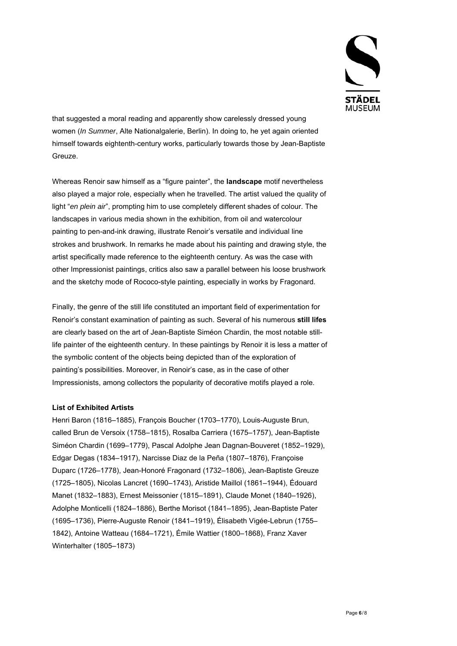

that suggested a moral reading and apparently show carelessly dressed young women (*In Summer*, Alte Nationalgalerie, Berlin). In doing to, he yet again oriented himself towards eightenth-century works, particularly towards those by Jean-Baptiste Greuze.

Whereas Renoir saw himself as a "figure painter", the **landscape** motif nevertheless also played a major role, especially when he travelled. The artist valued the quality of light "*en plein air*", prompting him to use completely different shades of colour. The landscapes in various media shown in the exhibition, from oil and watercolour painting to pen-and-ink drawing, illustrate Renoir's versatile and individual line strokes and brushwork. In remarks he made about his painting and drawing style, the artist specifically made reference to the eighteenth century. As was the case with other Impressionist paintings, critics also saw a parallel between his loose brushwork and the sketchy mode of Rococo-style painting, especially in works by Fragonard.

Finally, the genre of the still life constituted an important field of experimentation for Renoir's constant examination of painting as such. Several of his numerous **still lifes** are clearly based on the art of Jean-Baptiste Siméon Chardin, the most notable stilllife painter of the eighteenth century. In these paintings by Renoir it is less a matter of the symbolic content of the objects being depicted than of the exploration of painting's possibilities. Moreover, in Renoir's case, as in the case of other Impressionists, among collectors the popularity of decorative motifs played a role.

### **List of Exhibited Artists**

Henri Baron (1816–1885), François Boucher (1703–1770), Louis-Auguste Brun, called Brun de Versoix (1758–1815), Rosalba Carriera (1675–1757), Jean-Baptiste Siméon Chardin (1699–1779), Pascal Adolphe Jean Dagnan-Bouveret (1852–1929), Edgar Degas (1834–1917), Narcisse Diaz de la Peña (1807–1876), Françoise Duparc (1726–1778), Jean-Honoré Fragonard (1732–1806), Jean-Baptiste Greuze (1725–1805), Nicolas Lancret (1690–1743), Aristide Maillol (1861–1944), Édouard Manet (1832–1883), Ernest Meissonier (1815–1891), Claude Monet (1840–1926), Adolphe Monticelli (1824–1886), Berthe Morisot (1841–1895), Jean-Baptiste Pater (1695–1736), Pierre-Auguste Renoir (1841–1919), Élisabeth Vigée-Lebrun (1755– 1842), Antoine Watteau (1684–1721), Émile Wattier (1800–1868), Franz Xaver Winterhalter (1805–1873)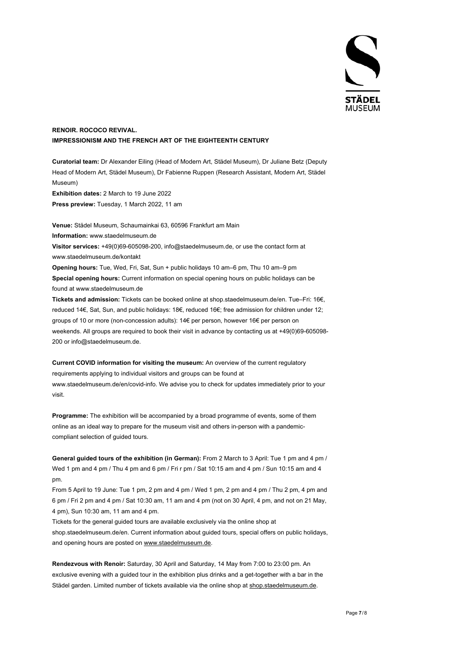

## **RENOIR. ROCOCO REVIVAL. IMPRESSIONISM AND THE FRENCH ART OF THE EIGHTEENTH CENTURY**

**Curatorial team:** Dr Alexander Eiling (Head of Modern Art, Städel Museum), Dr Juliane Betz (Deputy Head of Modern Art, Städel Museum), Dr Fabienne Ruppen (Research Assistant, Modern Art, Städel Museum) **Exhibition dates:** 2 March to 19 June 2022 **Press preview:** Tuesday, 1 March 2022, 11 am

**Venue:** Städel Museum, Schaumainkai 63, 60596 Frankfurt am Main **Information:** www.staedelmuseum.de **Visitor services:** +49(0)69-605098-200, info@staedelmuseum.de, or use the contact form at www.staedelmuseum.de/kontakt **Opening hours:** Tue, Wed, Fri, Sat, Sun + public holidays 10 am–6 pm, Thu 10 am–9 pm

**Special opening hours:** Current information on special opening hours on public holidays can be found at www.staedelmuseum.de

**Tickets and admission:** Tickets can be booked online at shop.staedelmuseum.de/en. Tue–Fri: 16€, reduced 14€, Sat, Sun, and public holidays: 18€, reduced 16€; free admission for children under 12; groups of 10 or more (non-concession adults): 14€ per person, however 16€ per person on weekends. All groups are required to book their visit in advance by contacting us at +49(0)69-605098- 200 or info@staedelmuseum.de.

**Current COVID information for visiting the museum:** An overview of the current regulatory requirements applying to individual visitors and groups can be found at www.staedelmuseum.de/en/covid-info. We advise you to check for updates immediately prior to your visit.

**Programme:** The exhibition will be accompanied by a broad programme of events, some of them online as an ideal way to prepare for the museum visit and others in-person with a pandemiccompliant selection of guided tours.

**General guided tours of the exhibition (in German):** From 2 March to 3 April: Tue 1 pm and 4 pm / Wed 1 pm and 4 pm / Thu 4 pm and 6 pm / Fri r pm / Sat 10:15 am and 4 pm / Sun 10:15 am and 4 pm.

From 5 April to 19 June: Tue 1 pm, 2 pm and 4 pm / Wed 1 pm, 2 pm and 4 pm / Thu 2 pm, 4 pm and 6 pm / Fri 2 pm and 4 pm / Sat 10:30 am, 11 am and 4 pm (not on 30 April, 4 pm, and not on 21 May, 4 pm), Sun 10:30 am, 11 am and 4 pm.

Tickets for the general guided tours are available exclusively via the online shop at shop.staedelmuseum.de/en. Current information about guided tours, special offers on public holidays, and opening hours are posted on www.staedelmuseum.de.

**Rendezvous with Renoir:** Saturday, 30 April and Saturday, 14 May from 7:00 to 23:00 pm. An exclusive evening with a guided tour in the exhibition plus drinks and a get-together with a bar in the Städel garden. Limited number of tickets available via the online shop at shop.staedelmuseum.de.